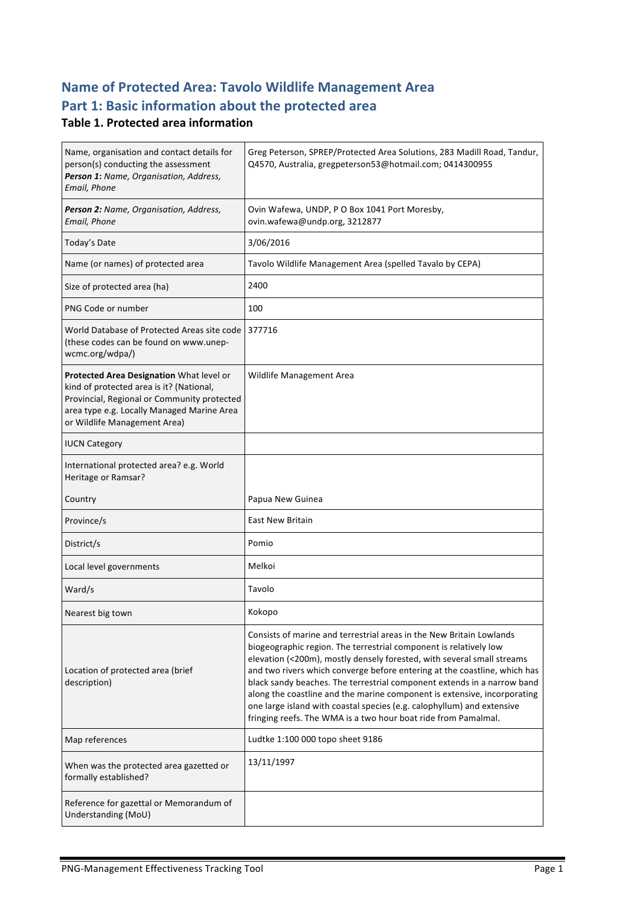# **Name of Protected Area: Tavolo Wildlife Management Area** Part 1: Basic information about the protected area

#### **Table 1. Protected area information**

| Name, organisation and contact details for<br>person(s) conducting the assessment<br>Person 1: Name, Organisation, Address,<br>Email, Phone                                                                       | Greg Peterson, SPREP/Protected Area Solutions, 283 Madill Road, Tandur,<br>Q4570, Australia, gregpeterson53@hotmail.com; 0414300955                                                                                                                                                                                                                                                                                                                                                                                                                                                                 |
|-------------------------------------------------------------------------------------------------------------------------------------------------------------------------------------------------------------------|-----------------------------------------------------------------------------------------------------------------------------------------------------------------------------------------------------------------------------------------------------------------------------------------------------------------------------------------------------------------------------------------------------------------------------------------------------------------------------------------------------------------------------------------------------------------------------------------------------|
| Person 2: Name, Organisation, Address,<br>Email, Phone                                                                                                                                                            | Ovin Wafewa, UNDP, P O Box 1041 Port Moresby,<br>ovin.wafewa@undp.org, 3212877                                                                                                                                                                                                                                                                                                                                                                                                                                                                                                                      |
| Today's Date                                                                                                                                                                                                      | 3/06/2016                                                                                                                                                                                                                                                                                                                                                                                                                                                                                                                                                                                           |
| Name (or names) of protected area                                                                                                                                                                                 | Tavolo Wildlife Management Area (spelled Tavalo by CEPA)                                                                                                                                                                                                                                                                                                                                                                                                                                                                                                                                            |
| Size of protected area (ha)                                                                                                                                                                                       | 2400                                                                                                                                                                                                                                                                                                                                                                                                                                                                                                                                                                                                |
| PNG Code or number                                                                                                                                                                                                | 100                                                                                                                                                                                                                                                                                                                                                                                                                                                                                                                                                                                                 |
| World Database of Protected Areas site code<br>(these codes can be found on www.unep-<br>wcmc.org/wdpa/)                                                                                                          | 377716                                                                                                                                                                                                                                                                                                                                                                                                                                                                                                                                                                                              |
| Protected Area Designation What level or<br>kind of protected area is it? (National,<br>Provincial, Regional or Community protected<br>area type e.g. Locally Managed Marine Area<br>or Wildlife Management Area) | Wildlife Management Area                                                                                                                                                                                                                                                                                                                                                                                                                                                                                                                                                                            |
| <b>IUCN Category</b>                                                                                                                                                                                              |                                                                                                                                                                                                                                                                                                                                                                                                                                                                                                                                                                                                     |
| International protected area? e.g. World<br>Heritage or Ramsar?                                                                                                                                                   |                                                                                                                                                                                                                                                                                                                                                                                                                                                                                                                                                                                                     |
| Country                                                                                                                                                                                                           | Papua New Guinea                                                                                                                                                                                                                                                                                                                                                                                                                                                                                                                                                                                    |
| Province/s                                                                                                                                                                                                        | <b>East New Britain</b>                                                                                                                                                                                                                                                                                                                                                                                                                                                                                                                                                                             |
| District/s                                                                                                                                                                                                        | Pomio                                                                                                                                                                                                                                                                                                                                                                                                                                                                                                                                                                                               |
| Local level governments                                                                                                                                                                                           | Melkoi                                                                                                                                                                                                                                                                                                                                                                                                                                                                                                                                                                                              |
| Ward/s                                                                                                                                                                                                            | Tavolo                                                                                                                                                                                                                                                                                                                                                                                                                                                                                                                                                                                              |
| Nearest big town                                                                                                                                                                                                  | Kokopo                                                                                                                                                                                                                                                                                                                                                                                                                                                                                                                                                                                              |
| Location of protected area (brief<br>description)                                                                                                                                                                 | Consists of marine and terrestrial areas in the New Britain Lowlands<br>biogeographic region. The terrestrial component is relatively low<br>elevation (<200m), mostly densely forested, with several small streams<br>and two rivers which converge before entering at the coastline, which has<br>black sandy beaches. The terrestrial component extends in a narrow band<br>along the coastline and the marine component is extensive, incorporating<br>one large island with coastal species (e.g. calophyllum) and extensive<br>fringing reefs. The WMA is a two hour boat ride from Pamalmal. |
| Map references                                                                                                                                                                                                    | Ludtke 1:100 000 topo sheet 9186                                                                                                                                                                                                                                                                                                                                                                                                                                                                                                                                                                    |
| When was the protected area gazetted or<br>formally established?                                                                                                                                                  | 13/11/1997                                                                                                                                                                                                                                                                                                                                                                                                                                                                                                                                                                                          |
| Reference for gazettal or Memorandum of<br>Understanding (MoU)                                                                                                                                                    |                                                                                                                                                                                                                                                                                                                                                                                                                                                                                                                                                                                                     |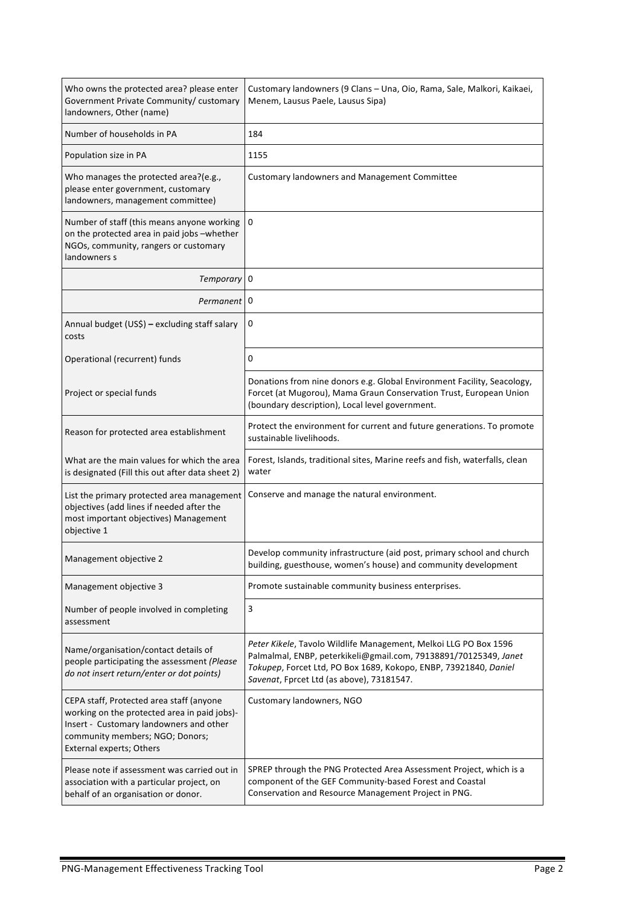| Who owns the protected area? please enter<br>Government Private Community/ customary<br>landowners, Other (name)                                                                                   | Customary landowners (9 Clans - Una, Oio, Rama, Sale, Malkori, Kaikaei,<br>Menem, Lausus Paele, Lausus Sipa)                                                                                                                                          |  |
|----------------------------------------------------------------------------------------------------------------------------------------------------------------------------------------------------|-------------------------------------------------------------------------------------------------------------------------------------------------------------------------------------------------------------------------------------------------------|--|
| Number of households in PA                                                                                                                                                                         | 184                                                                                                                                                                                                                                                   |  |
| Population size in PA                                                                                                                                                                              | 1155                                                                                                                                                                                                                                                  |  |
| Who manages the protected area?(e.g.,<br>please enter government, customary<br>landowners, management committee)                                                                                   | <b>Customary landowners and Management Committee</b>                                                                                                                                                                                                  |  |
| Number of staff (this means anyone working<br>on the protected area in paid jobs -whether<br>NGOs, community, rangers or customary<br>landowners s                                                 | 0                                                                                                                                                                                                                                                     |  |
| Temporary 0                                                                                                                                                                                        |                                                                                                                                                                                                                                                       |  |
| Permanent                                                                                                                                                                                          | 0                                                                                                                                                                                                                                                     |  |
| Annual budget (US\$) - excluding staff salary<br>costs                                                                                                                                             | 0                                                                                                                                                                                                                                                     |  |
| Operational (recurrent) funds                                                                                                                                                                      | 0                                                                                                                                                                                                                                                     |  |
| Project or special funds                                                                                                                                                                           | Donations from nine donors e.g. Global Environment Facility, Seacology,<br>Forcet (at Mugorou), Mama Graun Conservation Trust, European Union<br>(boundary description), Local level government.                                                      |  |
| Reason for protected area establishment                                                                                                                                                            | Protect the environment for current and future generations. To promote<br>sustainable livelihoods.                                                                                                                                                    |  |
| What are the main values for which the area<br>is designated (Fill this out after data sheet 2)                                                                                                    | Forest, Islands, traditional sites, Marine reefs and fish, waterfalls, clean<br>water                                                                                                                                                                 |  |
| List the primary protected area management<br>objectives (add lines if needed after the<br>most important objectives) Management<br>objective 1                                                    | Conserve and manage the natural environment.                                                                                                                                                                                                          |  |
| Management objective 2                                                                                                                                                                             | Develop community infrastructure (aid post, primary school and church<br>building, guesthouse, women's house) and community development                                                                                                               |  |
| Management objective 3                                                                                                                                                                             | Promote sustainable community business enterprises.                                                                                                                                                                                                   |  |
| Number of people involved in completing<br>assessment                                                                                                                                              | 3                                                                                                                                                                                                                                                     |  |
| Name/organisation/contact details of<br>people participating the assessment (Please<br>do not insert return/enter or dot points)                                                                   | Peter Kikele, Tavolo Wildlife Management, Melkoi LLG PO Box 1596<br>Palmalmal, ENBP, peterkikeli@gmail.com, 79138891/70125349, Janet<br>Tokupep, Forcet Ltd, PO Box 1689, Kokopo, ENBP, 73921840, Daniel<br>Savenat, Fprcet Ltd (as above), 73181547. |  |
| CEPA staff, Protected area staff (anyone<br>working on the protected area in paid jobs)-<br>Insert - Customary landowners and other<br>community members; NGO; Donors;<br>External experts; Others | Customary landowners, NGO                                                                                                                                                                                                                             |  |
| Please note if assessment was carried out in<br>association with a particular project, on<br>behalf of an organisation or donor.                                                                   | SPREP through the PNG Protected Area Assessment Project, which is a<br>component of the GEF Community-based Forest and Coastal<br>Conservation and Resource Management Project in PNG.                                                                |  |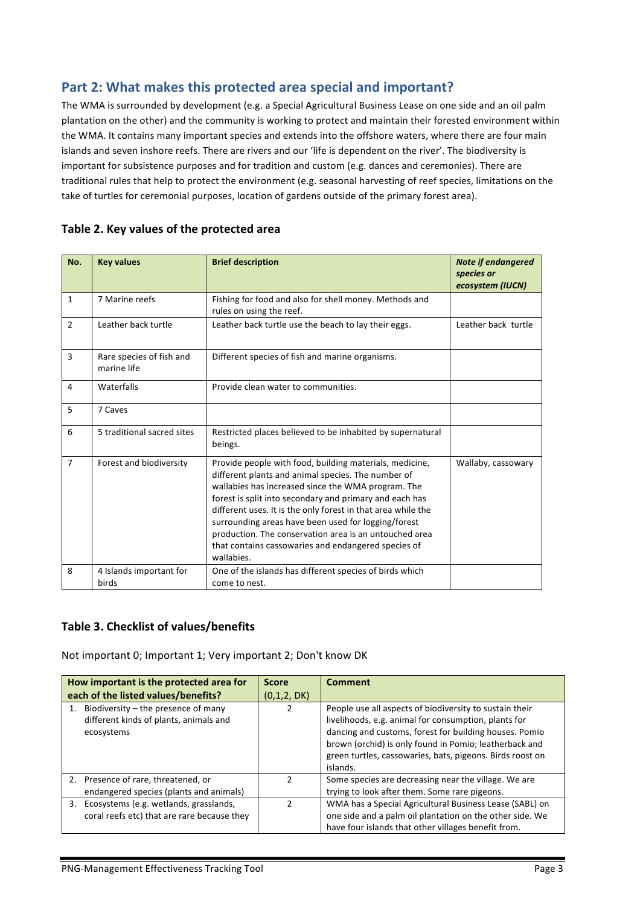#### Part 2: What makes this protected area special and important?

The WMA is surrounded by development (e.g. a Special Agricultural Business Lease on one side and an oil palm plantation on the other) and the community is working to protect and maintain their forested environment within the WMA. It contains many important species and extends into the offshore waters, where there are four main islands and seven inshore reefs. There are rivers and our 'life is dependent on the river'. The biodiversity is important for subsistence purposes and for tradition and custom (e.g. dances and ceremonies). There are traditional rules that help to protect the environment (e.g. seasonal harvesting of reef species, limitations on the take of turtles for ceremonial purposes, location of gardens outside of the primary forest area).

| No.            | <b>Key values</b>                       | <b>Brief description</b>                                                                                                                                                                                                                                                                                                                                                                                                                                                             | <b>Note if endangered</b><br>species or |
|----------------|-----------------------------------------|--------------------------------------------------------------------------------------------------------------------------------------------------------------------------------------------------------------------------------------------------------------------------------------------------------------------------------------------------------------------------------------------------------------------------------------------------------------------------------------|-----------------------------------------|
|                |                                         |                                                                                                                                                                                                                                                                                                                                                                                                                                                                                      | ecosystem (IUCN)                        |
| $\mathbf{1}$   | 7 Marine reefs                          | Fishing for food and also for shell money. Methods and<br>rules on using the reef.                                                                                                                                                                                                                                                                                                                                                                                                   |                                         |
| $\mathfrak{p}$ | Leather back turtle                     | Leather back turtle use the beach to lay their eggs.                                                                                                                                                                                                                                                                                                                                                                                                                                 | Leather back turtle                     |
| 3              | Rare species of fish and<br>marine life | Different species of fish and marine organisms.                                                                                                                                                                                                                                                                                                                                                                                                                                      |                                         |
| $\overline{4}$ | Waterfalls                              | Provide clean water to communities.                                                                                                                                                                                                                                                                                                                                                                                                                                                  |                                         |
| 5              | 7 Caves                                 |                                                                                                                                                                                                                                                                                                                                                                                                                                                                                      |                                         |
| 6              | 5 traditional sacred sites              | Restricted places believed to be inhabited by supernatural<br>beings.                                                                                                                                                                                                                                                                                                                                                                                                                |                                         |
| $\overline{7}$ | Forest and biodiversity                 | Provide people with food, building materials, medicine,<br>different plants and animal species. The number of<br>wallabies has increased since the WMA program. The<br>forest is split into secondary and primary and each has<br>different uses. It is the only forest in that area while the<br>surrounding areas have been used for logging/forest<br>production. The conservation area is an untouched area<br>that contains cassowaries and endangered species of<br>wallabies. | Wallaby, cassowary                      |
| 8              | 4 Islands important for<br>birds        | One of the islands has different species of birds which<br>come to nest.                                                                                                                                                                                                                                                                                                                                                                                                             |                                         |

#### Table 2. Key values of the protected area

#### Table 3. Checklist of values/benefits

Not important 0; Important 1; Very important 2; Don't know DK

| How important is the protected area for                                                          | <b>Score</b>  | <b>Comment</b>                                                                                                                                                                                                                                                                                               |
|--------------------------------------------------------------------------------------------------|---------------|--------------------------------------------------------------------------------------------------------------------------------------------------------------------------------------------------------------------------------------------------------------------------------------------------------------|
| each of the listed values/benefits?                                                              | (0,1,2, DK)   |                                                                                                                                                                                                                                                                                                              |
| 1. Biodiversity $-$ the presence of many<br>different kinds of plants, animals and<br>ecosystems |               | People use all aspects of biodiversity to sustain their<br>livelihoods, e.g. animal for consumption, plants for<br>dancing and customs, forest for building houses. Pomio<br>brown (orchid) is only found in Pomio; leatherback and<br>green turtles, cassowaries, bats, pigeons. Birds roost on<br>islands. |
| 2. Presence of rare, threatened, or<br>endangered species (plants and animals)                   | $\mathcal{P}$ | Some species are decreasing near the village. We are<br>trying to look after them. Some rare pigeons.                                                                                                                                                                                                        |
| 3. Ecosystems (e.g. wetlands, grasslands,<br>coral reefs etc) that are rare because they         | $\mathcal{P}$ | WMA has a Special Agricultural Business Lease (SABL) on<br>one side and a palm oil plantation on the other side. We<br>have four islands that other villages benefit from.                                                                                                                                   |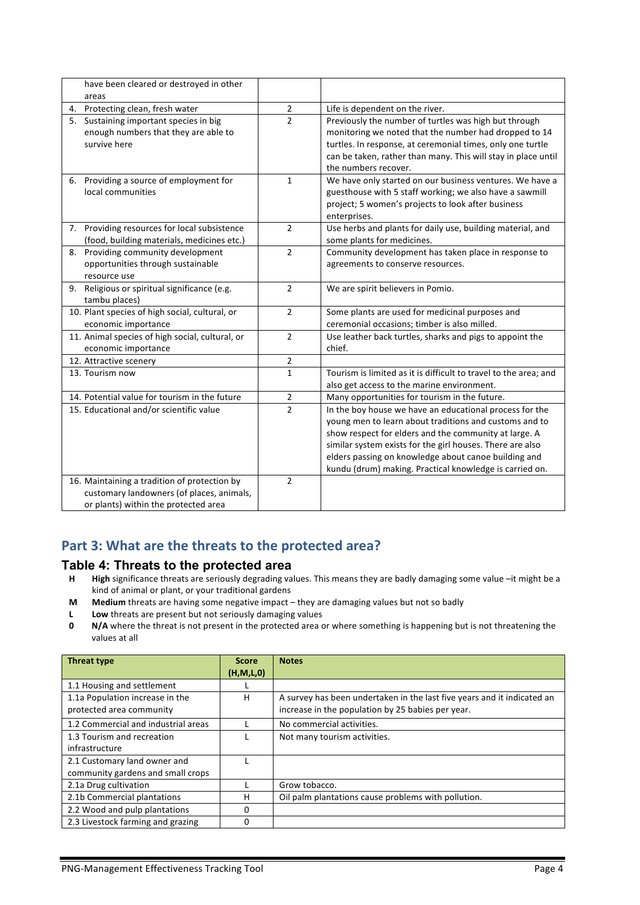| have been cleared or destroyed in other         |                |                                                                  |
|-------------------------------------------------|----------------|------------------------------------------------------------------|
| areas                                           |                |                                                                  |
| 4. Protecting clean, fresh water                | 2              | Life is dependent on the river.                                  |
| Sustaining important species in big<br>5.       | $\overline{2}$ | Previously the number of turtles was high but through            |
| enough numbers that they are able to            |                | monitoring we noted that the number had dropped to 14            |
| survive here                                    |                | turtles. In response, at ceremonial times, only one turtle       |
|                                                 |                | can be taken, rather than many. This will stay in place until    |
|                                                 |                | the numbers recover.                                             |
| 6. Providing a source of employment for         | $\mathbf{1}$   | We have only started on our business ventures. We have a         |
| local communities                               |                | guesthouse with 5 staff working; we also have a sawmill          |
|                                                 |                | project; 5 women's projects to look after business               |
|                                                 |                | enterprises.                                                     |
| 7. Providing resources for local subsistence    | $\overline{2}$ | Use herbs and plants for daily use, building material, and       |
| (food, building materials, medicines etc.)      |                | some plants for medicines.                                       |
| 8. Providing community development              | $\overline{2}$ | Community development has taken place in response to             |
| opportunities through sustainable               |                | agreements to conserve resources.                                |
| resource use                                    |                |                                                                  |
| 9. Religious or spiritual significance (e.g.    | $\overline{2}$ | We are spirit believers in Pomio.                                |
| tambu places)                                   |                |                                                                  |
| 10. Plant species of high social, cultural, or  | $\overline{2}$ | Some plants are used for medicinal purposes and                  |
| economic importance                             |                | ceremonial occasions; timber is also milled.                     |
| 11. Animal species of high social, cultural, or | $\overline{2}$ | Use leather back turtles, sharks and pigs to appoint the         |
| economic importance                             |                | chief.                                                           |
| 12. Attractive scenery                          | $\overline{2}$ |                                                                  |
| 13. Tourism now                                 | $\mathbf{1}$   | Tourism is limited as it is difficult to travel to the area; and |
|                                                 |                | also get access to the marine environment.                       |
| 14. Potential value for tourism in the future   | 2              | Many opportunities for tourism in the future.                    |
| 15. Educational and/or scientific value         | $\overline{2}$ | In the boy house we have an educational process for the          |
|                                                 |                | young men to learn about traditions and customs and to           |
|                                                 |                | show respect for elders and the community at large. A            |
|                                                 |                | similar system exists for the girl houses. There are also        |
|                                                 |                | elders passing on knowledge about canoe building and             |
|                                                 |                | kundu (drum) making. Practical knowledge is carried on.          |
| 16. Maintaining a tradition of protection by    | $\overline{2}$ |                                                                  |
| customary landowners (of places, animals,       |                |                                                                  |
| or plants) within the protected area            |                |                                                                  |

### Part 3: What are the threats to the protected area?

#### **Table 4: Threats to the protected area**

- H **High** significance threats are seriously degrading values. This means they are badly damaging some value –it might be a kind of animal or plant, or your traditional gardens
- **M** Medium threats are having some negative impact they are damaging values but not so badly
- **L** Low threats are present but not seriously damaging values
- **0 N/A** where the threat is not present in the protected area or where something is happening but is not threatening the values at all

| <b>Threat type</b>                  | <b>Score</b> | <b>Notes</b>                                                            |
|-------------------------------------|--------------|-------------------------------------------------------------------------|
|                                     | (H, M, L, 0) |                                                                         |
| 1.1 Housing and settlement          |              |                                                                         |
| 1.1a Population increase in the     | н            | A survey has been undertaken in the last five years and it indicated an |
| protected area community            |              | increase in the population by 25 babies per year.                       |
| 1.2 Commercial and industrial areas |              | No commercial activities.                                               |
| 1.3 Tourism and recreation          |              | Not many tourism activities.                                            |
| infrastructure                      |              |                                                                         |
| 2.1 Customary land owner and        |              |                                                                         |
| community gardens and small crops   |              |                                                                         |
| 2.1a Drug cultivation               |              | Grow tobacco.                                                           |
| 2.1b Commercial plantations         | н            | Oil palm plantations cause problems with pollution.                     |
| 2.2 Wood and pulp plantations       | 0            |                                                                         |
| 2.3 Livestock farming and grazing   | O            |                                                                         |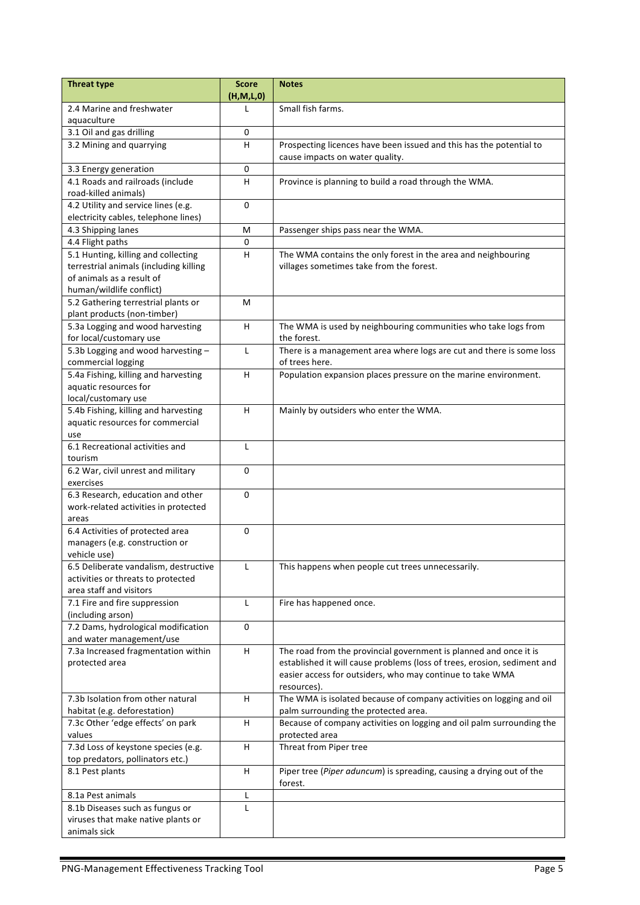| <b>Threat type</b>                                            | <b>Score</b> | <b>Notes</b>                                                             |
|---------------------------------------------------------------|--------------|--------------------------------------------------------------------------|
|                                                               | (H,M,L,0)    |                                                                          |
| 2.4 Marine and freshwater                                     |              | Small fish farms.                                                        |
| aquaculture                                                   |              |                                                                          |
| 3.1 Oil and gas drilling                                      | 0            |                                                                          |
| 3.2 Mining and quarrying                                      | H            | Prospecting licences have been issued and this has the potential to      |
|                                                               |              | cause impacts on water quality.                                          |
| 3.3 Energy generation                                         | $\mathbf 0$  |                                                                          |
| 4.1 Roads and railroads (include                              | $\sf H$      | Province is planning to build a road through the WMA.                    |
| road-killed animals)                                          |              |                                                                          |
| 4.2 Utility and service lines (e.g.                           | 0            |                                                                          |
| electricity cables, telephone lines)                          |              |                                                                          |
| 4.3 Shipping lanes                                            | M            | Passenger ships pass near the WMA.                                       |
| 4.4 Flight paths                                              | 0            |                                                                          |
| 5.1 Hunting, killing and collecting                           | H            | The WMA contains the only forest in the area and neighbouring            |
| terrestrial animals (including killing                        |              | villages sometimes take from the forest.                                 |
| of animals as a result of                                     |              |                                                                          |
| human/wildlife conflict)                                      |              |                                                                          |
| 5.2 Gathering terrestrial plants or                           | M            |                                                                          |
| plant products (non-timber)                                   |              |                                                                          |
| 5.3a Logging and wood harvesting                              | H            | The WMA is used by neighbouring communities who take logs from           |
| for local/customary use                                       |              | the forest.                                                              |
| 5.3b Logging and wood harvesting $-$                          | L            | There is a management area where logs are cut and there is some loss     |
| commercial logging                                            |              | of trees here.                                                           |
| 5.4a Fishing, killing and harvesting                          | H            | Population expansion places pressure on the marine environment.          |
| aquatic resources for                                         |              |                                                                          |
| local/customary use                                           |              |                                                                          |
| 5.4b Fishing, killing and harvesting                          | H            | Mainly by outsiders who enter the WMA.                                   |
| aquatic resources for commercial                              |              |                                                                          |
| use                                                           |              |                                                                          |
| 6.1 Recreational activities and                               | L            |                                                                          |
| tourism                                                       |              |                                                                          |
| 6.2 War, civil unrest and military                            | $\mathbf 0$  |                                                                          |
| exercises                                                     |              |                                                                          |
| 6.3 Research, education and other                             | $\Omega$     |                                                                          |
| work-related activities in protected                          |              |                                                                          |
| areas                                                         |              |                                                                          |
| 6.4 Activities of protected area                              | 0            |                                                                          |
| managers (e.g. construction or                                |              |                                                                          |
| vehicle use)                                                  |              |                                                                          |
| 6.5 Deliberate vandalism, destructive                         | L            | This happens when people cut trees unnecessarily.                        |
| activities or threats to protected<br>area staff and visitors |              |                                                                          |
|                                                               | L            |                                                                          |
| 7.1 Fire and fire suppression<br>(including arson)            |              | Fire has happened once.                                                  |
| 7.2 Dams, hydrological modification                           | $\mathbf 0$  |                                                                          |
| and water management/use                                      |              |                                                                          |
| 7.3a Increased fragmentation within                           | H            | The road from the provincial government is planned and once it is        |
| protected area                                                |              | established it will cause problems (loss of trees, erosion, sediment and |
|                                                               |              | easier access for outsiders, who may continue to take WMA                |
|                                                               |              | resources).                                                              |
| 7.3b Isolation from other natural                             | н            | The WMA is isolated because of company activities on logging and oil     |
| habitat (e.g. deforestation)                                  |              | palm surrounding the protected area.                                     |
| 7.3c Other 'edge effects' on park                             | H            | Because of company activities on logging and oil palm surrounding the    |
| values                                                        |              | protected area                                                           |
| 7.3d Loss of keystone species (e.g.                           | H            | Threat from Piper tree                                                   |
| top predators, pollinators etc.)                              |              |                                                                          |
| 8.1 Pest plants                                               | H            | Piper tree (Piper aduncum) is spreading, causing a drying out of the     |
|                                                               |              | forest.                                                                  |
| 8.1a Pest animals                                             | L            |                                                                          |
| 8.1b Diseases such as fungus or                               | L            |                                                                          |
| viruses that make native plants or                            |              |                                                                          |
| animals sick                                                  |              |                                                                          |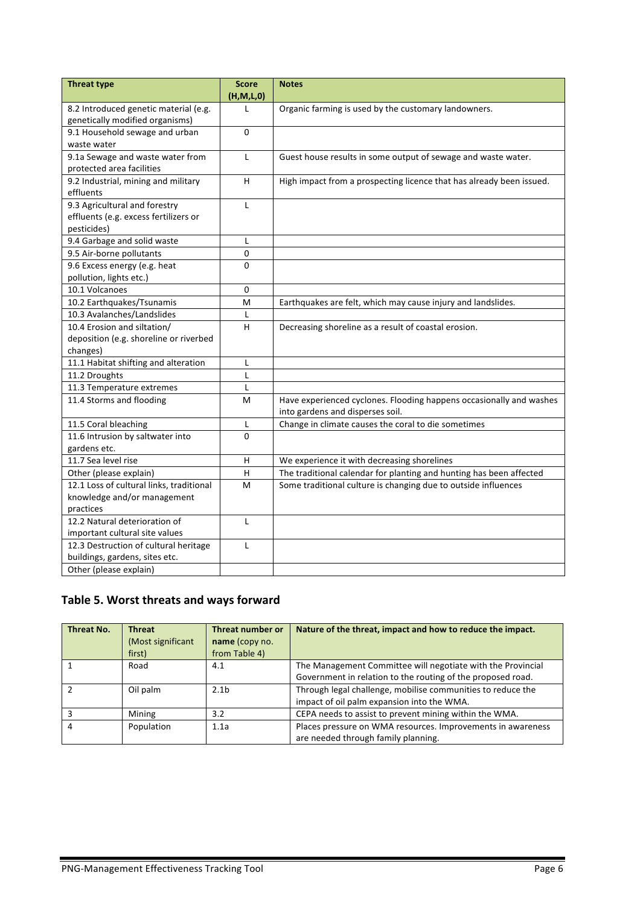| <b>Threat type</b>                       | <b>Score</b><br>(H, M, L, 0) | <b>Notes</b>                                                                                            |
|------------------------------------------|------------------------------|---------------------------------------------------------------------------------------------------------|
| 8.2 Introduced genetic material (e.g.    | L                            | Organic farming is used by the customary landowners.                                                    |
| genetically modified organisms)          |                              |                                                                                                         |
| 9.1 Household sewage and urban           | $\mathbf 0$                  |                                                                                                         |
| waste water                              |                              |                                                                                                         |
| 9.1a Sewage and waste water from         | L                            | Guest house results in some output of sewage and waste water.                                           |
| protected area facilities                |                              |                                                                                                         |
| 9.2 Industrial, mining and military      | H                            | High impact from a prospecting licence that has already been issued.                                    |
| effluents                                |                              |                                                                                                         |
| 9.3 Agricultural and forestry            | L                            |                                                                                                         |
| effluents (e.g. excess fertilizers or    |                              |                                                                                                         |
| pesticides)                              |                              |                                                                                                         |
| 9.4 Garbage and solid waste              | L                            |                                                                                                         |
| 9.5 Air-borne pollutants                 | 0                            |                                                                                                         |
| 9.6 Excess energy (e.g. heat             | 0                            |                                                                                                         |
| pollution, lights etc.)                  |                              |                                                                                                         |
| 10.1 Volcanoes                           | 0                            |                                                                                                         |
| 10.2 Earthquakes/Tsunamis                | M                            | Earthquakes are felt, which may cause injury and landslides.                                            |
| 10.3 Avalanches/Landslides               | L                            |                                                                                                         |
| 10.4 Erosion and siltation/              | H                            | Decreasing shoreline as a result of coastal erosion.                                                    |
| deposition (e.g. shoreline or riverbed   |                              |                                                                                                         |
| changes)                                 |                              |                                                                                                         |
| 11.1 Habitat shifting and alteration     | L                            |                                                                                                         |
| 11.2 Droughts                            | L                            |                                                                                                         |
| 11.3 Temperature extremes                | L                            |                                                                                                         |
| 11.4 Storms and flooding                 | M                            | Have experienced cyclones. Flooding happens occasionally and washes<br>into gardens and disperses soil. |
| 11.5 Coral bleaching                     | L                            | Change in climate causes the coral to die sometimes                                                     |
| 11.6 Intrusion by saltwater into         | $\Omega$                     |                                                                                                         |
| gardens etc.                             |                              |                                                                                                         |
| 11.7 Sea level rise                      | Н                            | We experience it with decreasing shorelines                                                             |
| Other (please explain)                   | Н                            | The traditional calendar for planting and hunting has been affected                                     |
| 12.1 Loss of cultural links, traditional | M                            | Some traditional culture is changing due to outside influences                                          |
| knowledge and/or management              |                              |                                                                                                         |
| practices                                |                              |                                                                                                         |
| 12.2 Natural deterioration of            | L                            |                                                                                                         |
| important cultural site values           |                              |                                                                                                         |
| 12.3 Destruction of cultural heritage    | L                            |                                                                                                         |
| buildings, gardens, sites etc.           |                              |                                                                                                         |
| Other (please explain)                   |                              |                                                                                                         |

### Table 5. Worst threats and ways forward

| <b>Threat No.</b> | <b>Threat</b>     | Threat number or | Nature of the threat, impact and how to reduce the impact.  |
|-------------------|-------------------|------------------|-------------------------------------------------------------|
|                   | (Most significant | name (copy no.   |                                                             |
|                   | first)            | from Table 4)    |                                                             |
|                   | Road              | 4.1              | The Management Committee will negotiate with the Provincial |
|                   |                   |                  | Government in relation to the routing of the proposed road. |
|                   | Oil palm          | 2.1 <sub>b</sub> | Through legal challenge, mobilise communities to reduce the |
|                   |                   |                  | impact of oil palm expansion into the WMA.                  |
|                   | Mining            | 3.2              | CEPA needs to assist to prevent mining within the WMA.      |
| 4                 | Population        | 1.1a             | Places pressure on WMA resources. Improvements in awareness |
|                   |                   |                  | are needed through family planning.                         |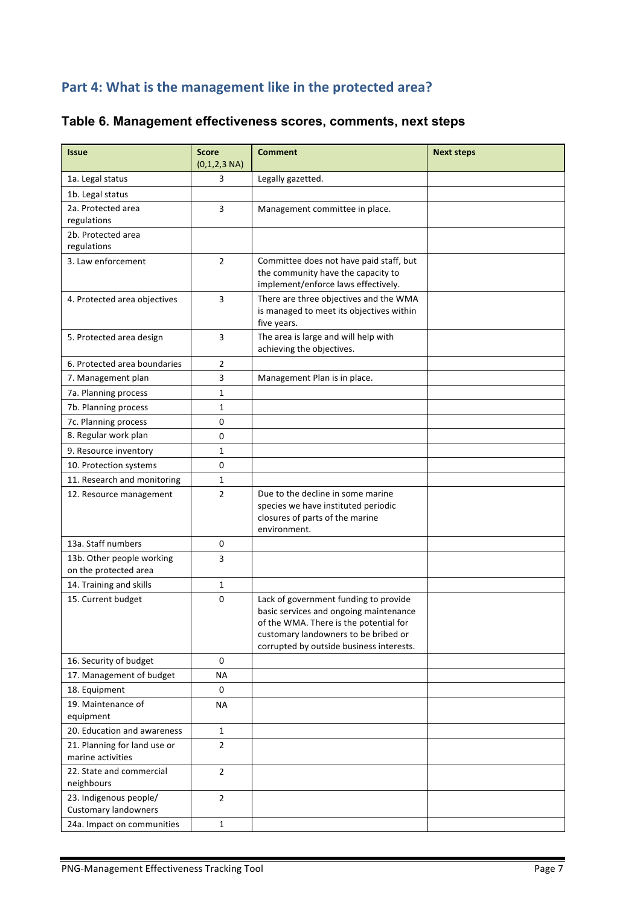## Part 4: What is the management like in the protected area?

| <b>Issue</b>                                          | <b>Score</b><br>$(0,1,2,3 \text{ NA})$ | <b>Comment</b>                                                                                                                                                                                                | <b>Next steps</b> |
|-------------------------------------------------------|----------------------------------------|---------------------------------------------------------------------------------------------------------------------------------------------------------------------------------------------------------------|-------------------|
| 1a. Legal status                                      | 3                                      | Legally gazetted.                                                                                                                                                                                             |                   |
| 1b. Legal status                                      |                                        |                                                                                                                                                                                                               |                   |
| 2a. Protected area                                    | 3                                      | Management committee in place.                                                                                                                                                                                |                   |
| regulations                                           |                                        |                                                                                                                                                                                                               |                   |
| 2b. Protected area                                    |                                        |                                                                                                                                                                                                               |                   |
| regulations                                           |                                        |                                                                                                                                                                                                               |                   |
| 3. Law enforcement                                    | $\overline{2}$                         | Committee does not have paid staff, but<br>the community have the capacity to<br>implement/enforce laws effectively.                                                                                          |                   |
| 4. Protected area objectives                          | 3                                      | There are three objectives and the WMA<br>is managed to meet its objectives within<br>five years.                                                                                                             |                   |
| 5. Protected area design                              | 3                                      | The area is large and will help with<br>achieving the objectives.                                                                                                                                             |                   |
| 6. Protected area boundaries                          | $\overline{2}$                         |                                                                                                                                                                                                               |                   |
| 7. Management plan                                    | 3                                      | Management Plan is in place.                                                                                                                                                                                  |                   |
| 7a. Planning process                                  | $\mathbf{1}$                           |                                                                                                                                                                                                               |                   |
| 7b. Planning process                                  | $\mathbf{1}$                           |                                                                                                                                                                                                               |                   |
| 7c. Planning process                                  | 0                                      |                                                                                                                                                                                                               |                   |
| 8. Regular work plan                                  | 0                                      |                                                                                                                                                                                                               |                   |
| 9. Resource inventory                                 | 1                                      |                                                                                                                                                                                                               |                   |
| 10. Protection systems                                | 0                                      |                                                                                                                                                                                                               |                   |
| 11. Research and monitoring                           | $\mathbf{1}$                           |                                                                                                                                                                                                               |                   |
| 12. Resource management                               | $\overline{2}$                         | Due to the decline in some marine<br>species we have instituted periodic<br>closures of parts of the marine<br>environment.                                                                                   |                   |
| 13a. Staff numbers                                    | 0                                      |                                                                                                                                                                                                               |                   |
| 13b. Other people working<br>on the protected area    | 3                                      |                                                                                                                                                                                                               |                   |
| 14. Training and skills                               | $\mathbf{1}$                           |                                                                                                                                                                                                               |                   |
| 15. Current budget                                    | $\mathbf 0$                            | Lack of government funding to provide<br>basic services and ongoing maintenance<br>of the WMA. There is the potential for<br>customary landowners to be bribed or<br>corrupted by outside business interests. |                   |
| 16. Security of budget                                | $\mathbf 0$                            |                                                                                                                                                                                                               |                   |
| 17. Management of budget                              | <b>NA</b>                              |                                                                                                                                                                                                               |                   |
| 18. Equipment                                         | 0                                      |                                                                                                                                                                                                               |                   |
| 19. Maintenance of<br>equipment                       | <b>NA</b>                              |                                                                                                                                                                                                               |                   |
| 20. Education and awareness                           | $\mathbf{1}$                           |                                                                                                                                                                                                               |                   |
| 21. Planning for land use or<br>marine activities     | $\overline{2}$                         |                                                                                                                                                                                                               |                   |
| 22. State and commercial<br>neighbours                | $\overline{2}$                         |                                                                                                                                                                                                               |                   |
| 23. Indigenous people/<br><b>Customary landowners</b> | $\overline{2}$                         |                                                                                                                                                                                                               |                   |
| 24a. Impact on communities                            | $\mathbf{1}$                           |                                                                                                                                                                                                               |                   |

### **Table 6. Management effectiveness scores, comments, next steps**